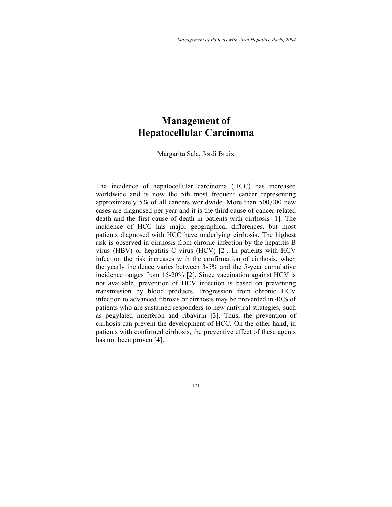# **Management of Hepatocellular Carcinoma**

Margarita Sala, Jordi Bruix

The incidence of hepatocellular carcinoma (HCC) has increased worldwide and is now the 5th most frequent cancer representing approximately 5% of all cancers worldwide. More than 500,000 new cases are diagnosed per year and it is the third cause of cancer-related death and the first cause of death in patients with cirrhosis [1]. The incidence of HCC has major geographical differences, but most patients diagnosed with HCC have underlying cirrhosis. The highest risk is observed in cirrhosis from chronic infection by the hepatitis B virus (HBV) or hepatitis C virus (HCV) [2]. In patients with HCV infection the risk increases with the confirmation of cirrhosis, when the yearly incidence varies between 3-5% and the 5-year cumulative incidence ranges from 15-20% [2]. Since vaccination against HCV is not available, prevention of HCV infection is based on preventing transmission by blood products. Progression from chronic HCV infection to advanced fibrosis or cirrhosis may be prevented in 40% of patients who are sustained responders to new antiviral strategies, such as pegylated interferon and ribavirin [3]. Thus, the prevention of cirrhosis can prevent the development of HCC. On the other hand, in patients with confirmed cirrhosis, the preventive effect of these agents has not been proven [4].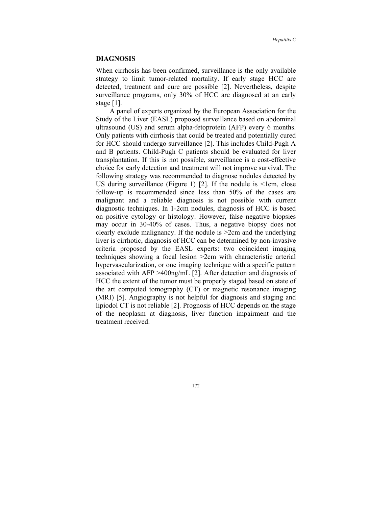#### **DIAGNOSIS**

When cirrhosis has been confirmed, surveillance is the only available strategy to limit tumor-related mortality. If early stage HCC are detected, treatment and cure are possible [2]. Nevertheless, despite surveillance programs, only 30% of HCC are diagnosed at an early stage [1].

A panel of experts organized by the European Association for the Study of the Liver (EASL) proposed surveillance based on abdominal ultrasound (US) and serum alpha-fetoprotein (AFP) every 6 months. Only patients with cirrhosis that could be treated and potentially cured for HCC should undergo surveillance [2]. This includes Child-Pugh A and B patients. Child-Pugh C patients should be evaluated for liver transplantation. If this is not possible, surveillance is a cost-effective choice for early detection and treatment will not improve survival. The following strategy was recommended to diagnose nodules detected by US during surveillance (Figure 1) [2]. If the nodule is  $\le$ 1cm, close follow-up is recommended since less than 50% of the cases are malignant and a reliable diagnosis is not possible with current diagnostic techniques. In 1-2cm nodules, diagnosis of HCC is based on positive cytology or histology. However, false negative biopsies may occur in 30-40% of cases. Thus, a negative biopsy does not clearly exclude malignancy. If the nodule is >2cm and the underlying liver is cirrhotic, diagnosis of HCC can be determined by non-invasive criteria proposed by the EASL experts: two coincident imaging techniques showing a focal lesion >2cm with characteristic arterial hypervascularization, or one imaging technique with a specific pattern associated with AFP >400ng/mL [2]. After detection and diagnosis of HCC the extent of the tumor must be properly staged based on state of the art computed tomography (CT) or magnetic resonance imaging (MRI) [5]. Angiography is not helpful for diagnosis and staging and lipiodol CT is not reliable [2]. Prognosis of HCC depends on the stage of the neoplasm at diagnosis, liver function impairment and the treatment received.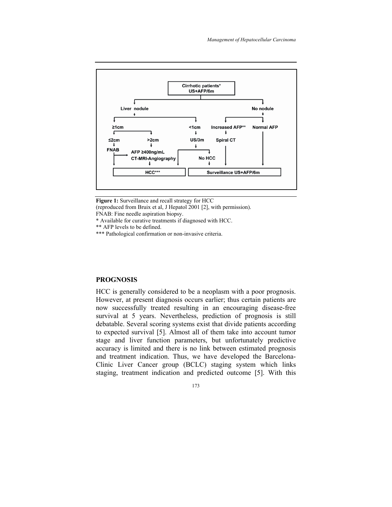

**Figure 1:** Surveillance and recall strategy for HCC

(reproduced from Bruix et al, J Hepatol 2001 [2], with permission).

- FNAB: Fine needle aspiration biopsy.
- \* Available for curative treatments if diagnosed with HCC.

\*\* AFP levels to be defined.

\*\*\* Pathological confirmation or non-invasive criteria.

# **PROGNOSIS**

HCC is generally considered to be a neoplasm with a poor prognosis. However, at present diagnosis occurs earlier; thus certain patients are now successfully treated resulting in an encouraging disease-free survival at 5 years. Nevertheless, prediction of prognosis is still debatable. Several scoring systems exist that divide patients according to expected survival [5]. Almost all of them take into account tumor stage and liver function parameters, but unfortunately predictive accuracy is limited and there is no link between estimated prognosis and treatment indication. Thus, we have developed the Barcelona-Clinic Liver Cancer group (BCLC) staging system which links staging, treatment indication and predicted outcome [5]. With this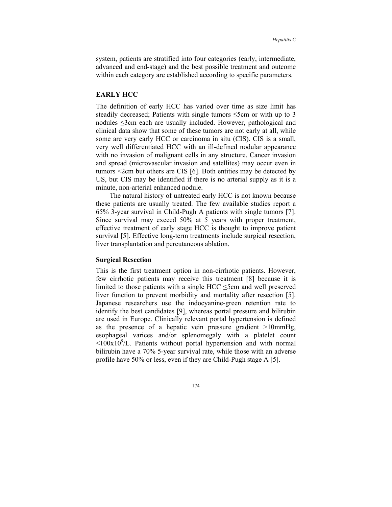system, patients are stratified into four categories (early, intermediate, advanced and end-stage) and the best possible treatment and outcome within each category are established according to specific parameters.

# **EARLY HCC**

The definition of early HCC has varied over time as size limit has steadily decreased; Patients with single tumors ≤5cm or with up to 3 nodules ≤3cm each are usually included. However, pathological and clinical data show that some of these tumors are not early at all, while some are very early HCC or carcinoma in situ (CIS). CIS is a small, very well differentiated HCC with an ill-defined nodular appearance with no invasion of malignant cells in any structure. Cancer invasion and spread (microvascular invasion and satellites) may occur even in tumors <2cm but others are CIS [6]. Both entities may be detected by US, but CIS may be identified if there is no arterial supply as it is a minute, non-arterial enhanced nodule.

The natural history of untreated early HCC is not known because these patients are usually treated. The few available studies report a 65% 3-year survival in Child-Pugh A patients with single tumors [7]. Since survival may exceed 50% at 5 years with proper treatment, effective treatment of early stage HCC is thought to improve patient survival [5]. Effective long-term treatments include surgical resection, liver transplantation and percutaneous ablation.

## **Surgical Resection**

This is the first treatment option in non-cirrhotic patients. However, few cirrhotic patients may receive this treatment [8] because it is limited to those patients with a single HCC ≤5cm and well preserved liver function to prevent morbidity and mortality after resection [5]. Japanese researchers use the indocyanine-green retention rate to identify the best candidates [9], whereas portal pressure and bilirubin are used in Europe. Clinically relevant portal hypertension is defined as the presence of a hepatic vein pressure gradient >10mmHg, esophageal varices and/or splenomegaly with a platelet count  $\langle 100x10^9/L$ . Patients without portal hypertension and with normal bilirubin have a 70% 5-year survival rate, while those with an adverse profile have 50% or less, even if they are Child-Pugh stage A [5].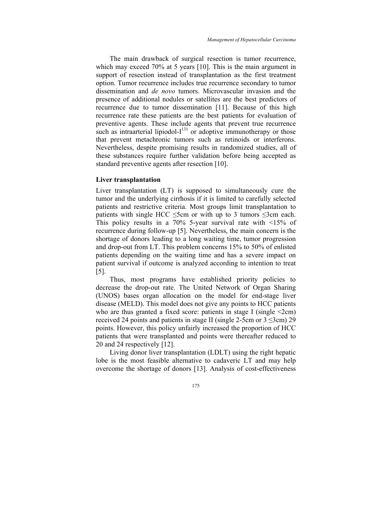The main drawback of surgical resection is tumor recurrence, which may exceed 70% at 5 years [10]. This is the main argument in support of resection instead of transplantation as the first treatment option. Tumor recurrence includes true recurrence secondary to tumor dissemination and *de novo* tumors. Microvascular invasion and the presence of additional nodules or satellites are the best predictors of recurrence due to tumor dissemination [11]. Because of this high recurrence rate these patients are the best patients for evaluation of preventive agents. These include agents that prevent true recurrence such as intraarterial lipiodol- $I^{131}$  or adoptive immunotherapy or those that prevent metachronic tumors such as retinoids or interferons. Nevertheless, despite promising results in randomized studies, all of these substances require further validation before being accepted as standard preventive agents after resection [10].

# **Liver transplantation**

Liver transplantation (LT) is supposed to simultaneously cure the tumor and the underlying cirrhosis if it is limited to carefully selected patients and restrictive criteria. Most groups limit transplantation to patients with single HCC  $\leq$ 5cm or with up to 3 tumors  $\leq$ 3cm each. This policy results in a 70% 5-year survival rate with  $\leq 15\%$  of recurrence during follow-up [5]. Nevertheless, the main concern is the shortage of donors leading to a long waiting time, tumor progression and drop-out from LT. This problem concerns 15% to 50% of enlisted patients depending on the waiting time and has a severe impact on patient survival if outcome is analyzed according to intention to treat [5].

Thus, most programs have established priority policies to decrease the drop-out rate. The United Network of Organ Sharing (UNOS) bases organ allocation on the model for end-stage liver disease (MELD). This model does not give any points to HCC patients who are thus granted a fixed score: patients in stage I (single  $\leq$ 2cm) received 24 points and patients in stage II (single 2-5cm or  $3 \le 3$ cm) 29 points. However, this policy unfairly increased the proportion of HCC patients that were transplanted and points were thereafter reduced to 20 and 24 respectively [12].

Living donor liver transplantation (LDLT) using the right hepatic lobe is the most feasible alternative to cadaveric LT and may help overcome the shortage of donors [13]. Analysis of cost-effectiveness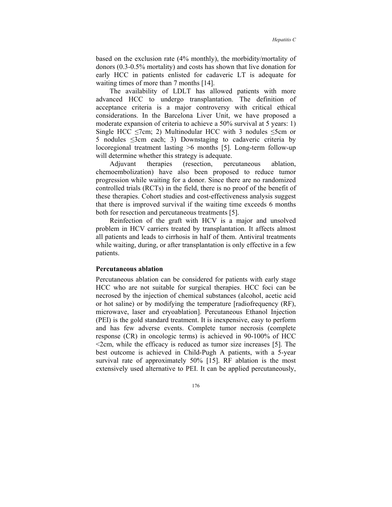based on the exclusion rate (4% monthly), the morbidity/mortality of donors (0.3-0.5% mortality) and costs has shown that live donation for early HCC in patients enlisted for cadaveric LT is adequate for waiting times of more than 7 months [14].

The availability of LDLT has allowed patients with more advanced HCC to undergo transplantation. The definition of acceptance criteria is a major controversy with critical ethical considerations. In the Barcelona Liver Unit, we have proposed a moderate expansion of criteria to achieve a 50% survival at 5 years: 1) Single HCC  $\le$ 7cm; 2) Multinodular HCC with 3 nodules  $\le$ 5cm or 5 nodules ≤3cm each; 3) Downstaging to cadaveric criteria by locoregional treatment lasting >6 months [5]. Long-term follow-up will determine whether this strategy is adequate.

Adjuvant therapies (resection, percutaneous ablation, chemoembolization) have also been proposed to reduce tumor progression while waiting for a donor. Since there are no randomized controlled trials (RCTs) in the field, there is no proof of the benefit of these therapies. Cohort studies and cost-effectiveness analysis suggest that there is improved survival if the waiting time exceeds 6 months both for resection and percutaneous treatments [5].

Reinfection of the graft with HCV is a major and unsolved problem in HCV carriers treated by transplantation. It affects almost all patients and leads to cirrhosis in half of them. Antiviral treatments while waiting, during, or after transplantation is only effective in a few patients.

#### **Percutaneous ablation**

Percutaneous ablation can be considered for patients with early stage HCC who are not suitable for surgical therapies. HCC foci can be necrosed by the injection of chemical substances (alcohol, acetic acid or hot saline) or by modifying the temperature [radiofrequency (RF), microwave, laser and cryoablation]. Percutaneous Ethanol Injection (PEI) is the gold standard treatment. It is inexpensive, easy to perform and has few adverse events. Complete tumor necrosis (complete response (CR) in oncologic terms) is achieved in 90-100% of HCC  $\leq$ 2cm, while the efficacy is reduced as tumor size increases [5]. The best outcome is achieved in Child-Pugh A patients, with a 5-year survival rate of approximately 50% [15]. RF ablation is the most extensively used alternative to PEI. It can be applied percutaneously,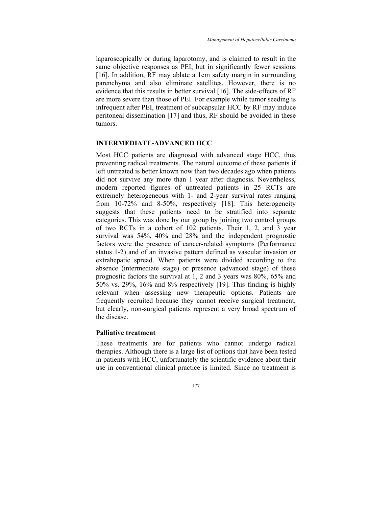laparoscopically or during laparotomy, and is claimed to result in the same objective responses as PEI, but in significantly fewer sessions [16]. In addition, RF may ablate a 1cm safety margin in surrounding parenchyma and also eliminate satellites. However, there is no evidence that this results in better survival [16]. The side-effects of RF are more severe than those of PEI. For example while tumor seeding is infrequent after PEI, treatment of subcapsular HCC by RF may induce peritoneal dissemination [17] and thus, RF should be avoided in these tumors.

#### **INTERMEDIATE-ADVANCED HCC**

Most HCC patients are diagnosed with advanced stage HCC, thus preventing radical treatments. The natural outcome of these patients if left untreated is better known now than two decades ago when patients did not survive any more than 1 year after diagnosis. Nevertheless, modern reported figures of untreated patients in 25 RCTs are extremely heterogeneous with 1- and 2-year survival rates ranging from 10-72% and 8-50%, respectively [18]. This heterogeneity suggests that these patients need to be stratified into separate categories. This was done by our group by joining two control groups of two RCTs in a cohort of 102 patients. Their 1, 2, and 3 year survival was 54%, 40% and 28% and the independent prognostic factors were the presence of cancer-related symptoms (Performance status 1-2) and of an invasive pattern defined as vascular invasion or extrahepatic spread. When patients were divided according to the absence (intermediate stage) or presence (advanced stage) of these prognostic factors the survival at 1, 2 and 3 years was 80%, 65% and 50% vs. 29%, 16% and 8% respectively [19]. This finding is highly relevant when assessing new therapeutic options. Patients are frequently recruited because they cannot receive surgical treatment, but clearly, non-surgical patients represent a very broad spectrum of the disease.

#### **Palliative treatment**

These treatments are for patients who cannot undergo radical therapies. Although there is a large list of options that have been tested in patients with HCC, unfortunately the scientific evidence about their use in conventional clinical practice is limited. Since no treatment is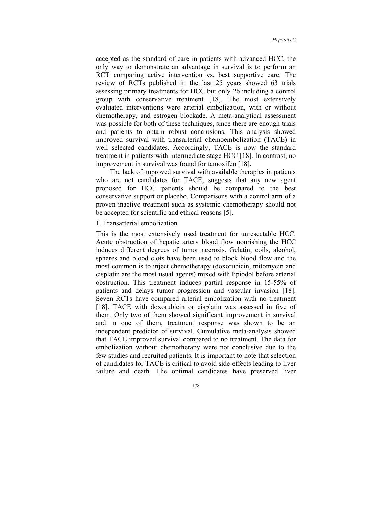accepted as the standard of care in patients with advanced HCC, the only way to demonstrate an advantage in survival is to perform an RCT comparing active intervention vs. best supportive care. The review of RCTs published in the last 25 years showed 63 trials assessing primary treatments for HCC but only 26 including a control group with conservative treatment [18]. The most extensively evaluated interventions were arterial embolization, with or without chemotherapy, and estrogen blockade. A meta-analytical assessment was possible for both of these techniques, since there are enough trials and patients to obtain robust conclusions. This analysis showed improved survival with transarterial chemoembolization (TACE) in well selected candidates. Accordingly, TACE is now the standard treatment in patients with intermediate stage HCC [18]. In contrast, no improvement in survival was found for tamoxifen [18].

The lack of improved survival with available therapies in patients who are not candidates for TACE, suggests that any new agent proposed for HCC patients should be compared to the best conservative support or placebo. Comparisons with a control arm of a proven inactive treatment such as systemic chemotherapy should not be accepted for scientific and ethical reasons [5].

# 1. Transarterial embolization

This is the most extensively used treatment for unresectable HCC. Acute obstruction of hepatic artery blood flow nourishing the HCC induces different degrees of tumor necrosis. Gelatin, coils, alcohol, spheres and blood clots have been used to block blood flow and the most common is to inject chemotherapy (doxorubicin, mitomycin and cisplatin are the most usual agents) mixed with lipiodol before arterial obstruction. This treatment induces partial response in 15-55% of patients and delays tumor progression and vascular invasion [18]. Seven RCTs have compared arterial embolization with no treatment [18]. TACE with doxorubicin or cisplatin was assessed in five of them. Only two of them showed significant improvement in survival and in one of them, treatment response was shown to be an independent predictor of survival. Cumulative meta-analysis showed that TACE improved survival compared to no treatment. The data for embolization without chemotherapy were not conclusive due to the few studies and recruited patients. It is important to note that selection of candidates for TACE is critical to avoid side-effects leading to liver failure and death. The optimal candidates have preserved liver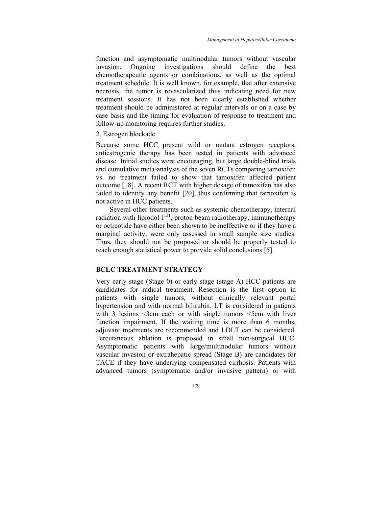function and asymptomatic multinodular tumors without vascular invasion. Ongoing investigations should define the best chemotherapeutic agents or combinations, as well as the optimal treatment schedule. It is well known, for example, that after extensive necrosis, the tumor is revascularized thus indicating need for new treatment sessions. It has not been clearly established whether treatment should be administered at regular intervals or on a case by case basis and the timing for evaluation of response to treatment and follow-up monitoring requires further studies.

# 2. Estrogen blockade

Because some HCC present wild or mutant estrogen receptors, antiestrogenic therapy has been tested in patients with advanced disease. Initial studies were encouraging, but large double-blind trials and cumulative meta-analysis of the seven RCTs comparing tamoxifen vs. no treatment failed to show that tamoxifen affected patient outcome [18]. A recent RCT with higher dosage of tamoxifen has also failed to identify any benefit [20], thus confirming that tamoxifen is not active in HCC patients.

Several other treatments such as systemic chemotherapy, internal radiation with lipiodol- $I^{131}$ , proton beam radiotherapy, immunotherapy or octreotide have either been shown to be ineffective or if they have a marginal activity, were only assessed in small sample size studies. Thus, they should not be proposed or should be properly tested to reach enough statistical power to provide solid conclusions [5].

# **BCLC TREATMENT STRATEGY**

Very early stage (Stage 0) or early stage (stage A) HCC patients are candidates for radical treatment. Resection is the first option in patients with single tumors, without clinically relevant portal hypertension and with normal bilirubin. LT is considered in patients with 3 lesions <3cm each or with single tumors <5cm with liver function impairment. If the waiting time is more than 6 months, adjuvant treatments are recommended and LDLT can be considered. Percutaneous ablation is proposed in small non-surgical HCC. Asymptomatic patients with large/multinodular tumors without vascular invasion or extrahepatic spread (Stage B) are candidates for TACE if they have underlying compensated cirrhosis. Patients with advanced tumors (symptomatic and/or invasive pattern) or with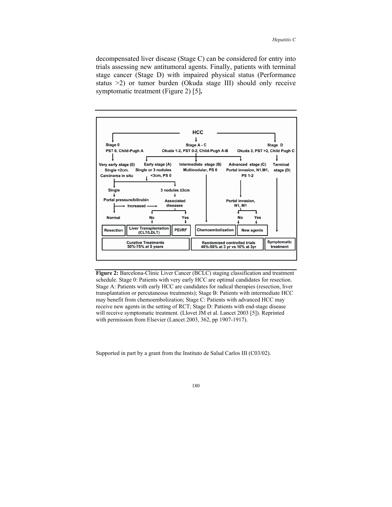decompensated liver disease (Stage C) can be considered for entry into trials assessing new antitumoral agents. Finally, patients with terminal stage cancer (Stage D) with impaired physical status (Performance status >2) or tumor burden (Okuda stage III) should only receive symptomatic treatment (Figure 2) [5]**.** 



**Figure 2:** Barcelona-Clinic Liver Cancer (BCLC) staging classification and treatment schedule. Stage 0: Patients with very early HCC are optimal candidates for resection. Stage A: Patients with early HCC are candidates for radical therapies (resection, liver transplantation or percutaneous treatments); Stage B: Patients with intermediate HCC may benefit from chemoembolization; Stage C: Patients with advanced HCC may receive new agents in the setting of RCT; Stage D: Patients with end-stage disease will receive symptomatic treatment. (Llovet JM et al. Lancet 2003 [5]). Reprinted with permission from Elsevier (Lancet 2003, 362, pp 1907-1917).

Supported in part by a grant from the Instituto de Salud Carlos III (C03/02).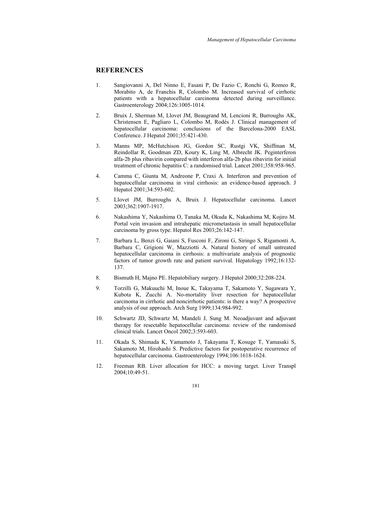# **REFERENCES**

- 1. Sangiovanni A, Del Ninno E, Fasani P, De Fazio C, Ronchi G, Romeo R, Morabito A, de Franchis R, Colombo M. Increased survival of cirrhotic patients with a hepatocellular carcinoma detected during surveillance. Gastroenterology 2004;126:1005-1014.
- 2. Bruix J, Sherman M, Llovet JM, Beaugrand M, Lencioni R, Burroughs AK, Christensen E, Pagliaro L, Colombo M, Rodés J. Clinical management of hepatocellular carcinoma: conclusions of the Barcelona-2000 EASL Conference. J Hepatol 2001;35:421-430.
- 3. Manns MP, McHutchison JG, Gordon SC, Rustgi VK, Shiffman M, Reindollar R, Goodman ZD, Koury K, Ling M, Albrecht JK. Peginterferon alfa-2b plus ribavirin compared with interferon alfa-2b plus ribavirin for initial treatment of chronic hepatitis C: a randomised trial. Lancet 2001;358:958-965.
- 4. Camma C, Giunta M, Andreone P, Craxi A. Interferon and prevention of hepatocellular carcinoma in viral cirrhosis: an evidence-based approach. J Hepatol 2001;34:593-602.
- 5. Llovet JM, Burroughs A, Bruix J. Hepatocellular carcinoma. Lancet 2003;362:1907-1917.
- 6. Nakashima Y, Nakashima O, Tanaka M, Okuda K, Nakashima M, Kojiro M. Portal vein invasion and intrahepatic micrometastasis in small hepatocellular carcinoma by gross type. Hepatol Res 2003;26:142-147.
- 7. Barbara L, Benzi G, Gaiani S, Fusconi F, Zironi G, Siringo S, Rigamonti A, Barbara C, Grigioni W, Mazziotti A. Natural history of small untreated hepatocellular carcinoma in cirrhosis: a multivariate analysis of prognostic factors of tumor growth rate and patient survival. Hepatology 1992;16:132- 137.
- 8. Bismuth H, Majno PE. Hepatobiliary surgery. J Hepatol 2000;32:208-224.
- 9. Torzilli G, Makuuchi M, Inoue K, Takayama T, Sakamoto Y, Sugawara Y, Kubota K, Zucchi A. No-mortality liver resection for hepatocellular carcinoma in cirrhotic and noncirrhotic patients: is there a way? A prospective analysis of our approach. Arch Surg 1999;134:984-992.
- 10. Schwartz JD, Schwartz M, Mandeli J, Sung M. Neoadjuvant and adjuvant therapy for resectable hepatocellular carcinoma: review of the randomised clinical trials. Lancet Oncol 2002;3:593-603.
- 11. Okada S, Shimada K, Yamamoto J, Takayama T, Kosuge T, Yamasaki S, Sakamoto M, Hirohashi S. Predictive factors for postoperative recurrence of hepatocellular carcinoma. Gastroenterology 1994;106:1618-1624.
- 12. Freeman RB. Liver allocation for HCC: a moving target. Liver Transpl 2004;10:49-51.